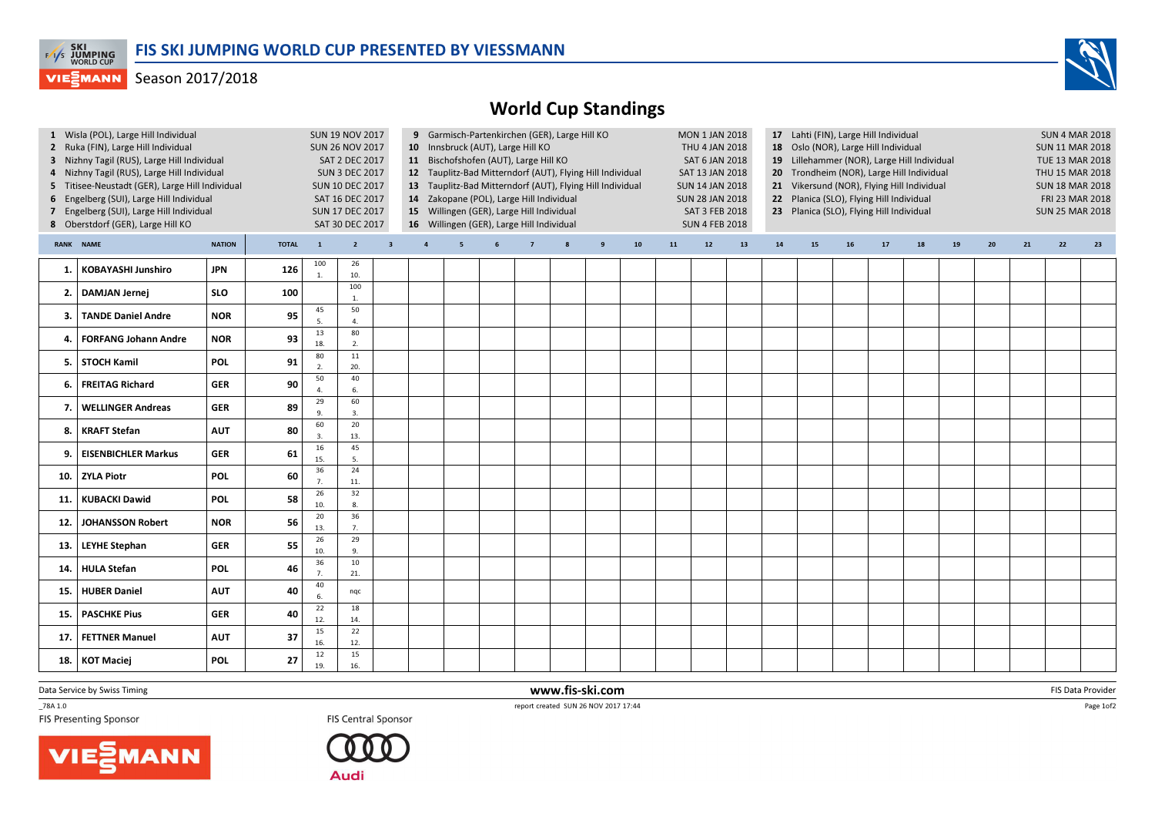

## **VIESMANN** Season 2017/2018

## World Cup Standings

| 1 Wisla (POL), Large Hill Individual<br>2 Ruka (FIN), Large Hill Individual<br>3 Nizhny Tagil (RUS), Large Hill Individual<br>4 Nizhny Tagil (RUS), Large Hill Individual<br>5 Titisee-Neustadt (GER), Large Hill Individual<br>6 Engelberg (SUI), Large Hill Individual<br>7 Engelberg (SUI), Large Hill Individual<br>8 Oberstdorf (GER), Large Hill KO |                             |               | <b>SUN 19 NOV 2017</b><br><b>SUN 26 NOV 2017</b><br>SAT 2 DEC 2017<br><b>SUN 3 DEC 2017</b><br><b>SUN 10 DEC 2017</b><br>SAT 16 DEC 2017<br>SUN 17 DEC 2017<br>SAT 30 DEC 2017 |                      |                        |                         | 9 Garmisch-Partenkirchen (GER), Large Hill KO<br>10 Innsbruck (AUT), Large Hill KO<br>11 Bischofshofen (AUT), Large Hill KO<br>12 Tauplitz-Bad Mitterndorf (AUT), Flying Hill Individual<br>13 Tauplitz-Bad Mitterndorf (AUT), Flying Hill Individual<br>14 Zakopane (POL), Large Hill Individual<br>15 Willingen (GER), Large Hill Individual<br>16 Willingen (GER), Large Hill Individual |   |  |                |  |   |            |            | <b>MON 1 JAN 2018</b><br>THU 4 JAN 2018<br><b>SAT 6 JAN 2018</b><br>SAT 13 JAN 2018<br><b>SUN 14 JAN 2018</b><br><b>SUN 28 JAN 2018</b><br>SAT 3 FEB 2018<br><b>SUN 4 FEB 2018</b> |    | 17 Lahti (FIN), Large Hill Individual<br>18 Oslo (NOR), Large Hill Individual<br>19 Lillehammer (NOR), Large Hill Individual<br>20 Trondheim (NOR), Large Hill Individual<br>21 Vikersund (NOR), Flying Hill Individual<br>22 Planica (SLO), Flying Hill Individual<br>23 Planica (SLO), Flying Hill Individual |    |    |    |    |    |    |    | <b>SUN 4 MAR 2018</b><br><b>SUN 11 MAR 2018</b><br>TUE 13 MAR 2018<br>THU 15 MAR 2018<br><b>SUN 18 MAR 2018</b><br>FRI 23 MAR 2018<br><b>SUN 25 MAR 2018</b> |    |  |
|-----------------------------------------------------------------------------------------------------------------------------------------------------------------------------------------------------------------------------------------------------------------------------------------------------------------------------------------------------------|-----------------------------|---------------|--------------------------------------------------------------------------------------------------------------------------------------------------------------------------------|----------------------|------------------------|-------------------------|---------------------------------------------------------------------------------------------------------------------------------------------------------------------------------------------------------------------------------------------------------------------------------------------------------------------------------------------------------------------------------------------|---|--|----------------|--|---|------------|------------|------------------------------------------------------------------------------------------------------------------------------------------------------------------------------------|----|-----------------------------------------------------------------------------------------------------------------------------------------------------------------------------------------------------------------------------------------------------------------------------------------------------------------|----|----|----|----|----|----|----|--------------------------------------------------------------------------------------------------------------------------------------------------------------|----|--|
|                                                                                                                                                                                                                                                                                                                                                           | RANK NAME                   | <b>NATION</b> | <b>TOTAL</b>                                                                                                                                                                   | $\mathbf{1}$         | $2^{\circ}$            | $\overline{\mathbf{3}}$ | $\overline{4}$                                                                                                                                                                                                                                                                                                                                                                              | 5 |  | $\overline{7}$ |  | 9 | ${\bf 10}$ | ${\bf 11}$ | $12$                                                                                                                                                                               | 13 | ${\bf 14}$                                                                                                                                                                                                                                                                                                      | 15 | 16 | 17 | 18 | 19 | 20 | 21 | 22                                                                                                                                                           | 23 |  |
| 1.                                                                                                                                                                                                                                                                                                                                                        | KOBAYASHI Junshiro          | <b>JPN</b>    | 126                                                                                                                                                                            | 100<br>$\mathbf{1}$  | 26<br>10.              |                         |                                                                                                                                                                                                                                                                                                                                                                                             |   |  |                |  |   |            |            |                                                                                                                                                                                    |    |                                                                                                                                                                                                                                                                                                                 |    |    |    |    |    |    |    |                                                                                                                                                              |    |  |
| 2.                                                                                                                                                                                                                                                                                                                                                        | <b>DAMJAN Jernej</b>        | <b>SLO</b>    | 100                                                                                                                                                                            |                      | 100<br>$\mathbf{1}$ .  |                         |                                                                                                                                                                                                                                                                                                                                                                                             |   |  |                |  |   |            |            |                                                                                                                                                                                    |    |                                                                                                                                                                                                                                                                                                                 |    |    |    |    |    |    |    |                                                                                                                                                              |    |  |
| З.                                                                                                                                                                                                                                                                                                                                                        | <b>TANDE Daniel Andre</b>   | <b>NOR</b>    | 95                                                                                                                                                                             | 45<br>5              | 50<br>$\overline{4}$ . |                         |                                                                                                                                                                                                                                                                                                                                                                                             |   |  |                |  |   |            |            |                                                                                                                                                                                    |    |                                                                                                                                                                                                                                                                                                                 |    |    |    |    |    |    |    |                                                                                                                                                              |    |  |
| 4                                                                                                                                                                                                                                                                                                                                                         | <b>FORFANG Johann Andre</b> | <b>NOR</b>    | 93                                                                                                                                                                             | 13<br>18.            | 80<br>2.               |                         |                                                                                                                                                                                                                                                                                                                                                                                             |   |  |                |  |   |            |            |                                                                                                                                                                                    |    |                                                                                                                                                                                                                                                                                                                 |    |    |    |    |    |    |    |                                                                                                                                                              |    |  |
| 5.                                                                                                                                                                                                                                                                                                                                                        | STOCH Kamil                 | <b>POL</b>    | 91                                                                                                                                                                             | 80<br>$\overline{2}$ | 11<br>20.              |                         |                                                                                                                                                                                                                                                                                                                                                                                             |   |  |                |  |   |            |            |                                                                                                                                                                                    |    |                                                                                                                                                                                                                                                                                                                 |    |    |    |    |    |    |    |                                                                                                                                                              |    |  |
| 6.                                                                                                                                                                                                                                                                                                                                                        | <b>FREITAG Richard</b>      | <b>GER</b>    | 90                                                                                                                                                                             | 50                   | 40<br>6.               |                         |                                                                                                                                                                                                                                                                                                                                                                                             |   |  |                |  |   |            |            |                                                                                                                                                                                    |    |                                                                                                                                                                                                                                                                                                                 |    |    |    |    |    |    |    |                                                                                                                                                              |    |  |
| $\overline{\mathbf{z}}$                                                                                                                                                                                                                                                                                                                                   | <b>WELLINGER Andreas</b>    | <b>GER</b>    | 89                                                                                                                                                                             | 29<br>9              | 60<br>3.               |                         |                                                                                                                                                                                                                                                                                                                                                                                             |   |  |                |  |   |            |            |                                                                                                                                                                                    |    |                                                                                                                                                                                                                                                                                                                 |    |    |    |    |    |    |    |                                                                                                                                                              |    |  |
| 8.                                                                                                                                                                                                                                                                                                                                                        | <b>KRAFT Stefan</b>         | <b>AUT</b>    | 80                                                                                                                                                                             | 60<br>$\overline{3}$ | 20<br>13.              |                         |                                                                                                                                                                                                                                                                                                                                                                                             |   |  |                |  |   |            |            |                                                                                                                                                                                    |    |                                                                                                                                                                                                                                                                                                                 |    |    |    |    |    |    |    |                                                                                                                                                              |    |  |
| 9                                                                                                                                                                                                                                                                                                                                                         | <b>EISENBICHLER Markus</b>  | <b>GER</b>    | 61                                                                                                                                                                             | 16<br>15.            | 45<br>5.               |                         |                                                                                                                                                                                                                                                                                                                                                                                             |   |  |                |  |   |            |            |                                                                                                                                                                                    |    |                                                                                                                                                                                                                                                                                                                 |    |    |    |    |    |    |    |                                                                                                                                                              |    |  |
| 10.                                                                                                                                                                                                                                                                                                                                                       | <b>ZYLA Piotr</b>           | POL           | 60                                                                                                                                                                             | 36<br>7.             | 24<br>11.              |                         |                                                                                                                                                                                                                                                                                                                                                                                             |   |  |                |  |   |            |            |                                                                                                                                                                                    |    |                                                                                                                                                                                                                                                                                                                 |    |    |    |    |    |    |    |                                                                                                                                                              |    |  |
| 11.                                                                                                                                                                                                                                                                                                                                                       | <b>KUBACKI Dawid</b>        | <b>POL</b>    | 58                                                                                                                                                                             | 26<br>10.            | 32<br>8.               |                         |                                                                                                                                                                                                                                                                                                                                                                                             |   |  |                |  |   |            |            |                                                                                                                                                                                    |    |                                                                                                                                                                                                                                                                                                                 |    |    |    |    |    |    |    |                                                                                                                                                              |    |  |
| 12                                                                                                                                                                                                                                                                                                                                                        | <b>JOHANSSON Robert</b>     | <b>NOR</b>    | 56                                                                                                                                                                             | 20<br>13.            | 36<br>7.               |                         |                                                                                                                                                                                                                                                                                                                                                                                             |   |  |                |  |   |            |            |                                                                                                                                                                                    |    |                                                                                                                                                                                                                                                                                                                 |    |    |    |    |    |    |    |                                                                                                                                                              |    |  |
| 13.                                                                                                                                                                                                                                                                                                                                                       | <b>LEYHE Stephan</b>        | <b>GER</b>    | 55                                                                                                                                                                             | 26<br>10.            | 29<br>9.               |                         |                                                                                                                                                                                                                                                                                                                                                                                             |   |  |                |  |   |            |            |                                                                                                                                                                                    |    |                                                                                                                                                                                                                                                                                                                 |    |    |    |    |    |    |    |                                                                                                                                                              |    |  |
| 14.                                                                                                                                                                                                                                                                                                                                                       | <b>HULA Stefan</b>          | <b>POL</b>    | 46                                                                                                                                                                             | 36<br>7 <sub>1</sub> | 10<br>21.              |                         |                                                                                                                                                                                                                                                                                                                                                                                             |   |  |                |  |   |            |            |                                                                                                                                                                                    |    |                                                                                                                                                                                                                                                                                                                 |    |    |    |    |    |    |    |                                                                                                                                                              |    |  |
| 15.                                                                                                                                                                                                                                                                                                                                                       | <b>HUBER Daniel</b>         | <b>AUT</b>    | 40                                                                                                                                                                             | 40<br>6.             | nqc                    |                         |                                                                                                                                                                                                                                                                                                                                                                                             |   |  |                |  |   |            |            |                                                                                                                                                                                    |    |                                                                                                                                                                                                                                                                                                                 |    |    |    |    |    |    |    |                                                                                                                                                              |    |  |
| 15.                                                                                                                                                                                                                                                                                                                                                       | <b>PASCHKE Pius</b>         | <b>GER</b>    | 40                                                                                                                                                                             | 22<br>12.            | 18<br>14.              |                         |                                                                                                                                                                                                                                                                                                                                                                                             |   |  |                |  |   |            |            |                                                                                                                                                                                    |    |                                                                                                                                                                                                                                                                                                                 |    |    |    |    |    |    |    |                                                                                                                                                              |    |  |
| 17                                                                                                                                                                                                                                                                                                                                                        | <b>FETTNER Manuel</b>       | <b>AUT</b>    | 37                                                                                                                                                                             | 15<br>16.            | 22<br>12.              |                         |                                                                                                                                                                                                                                                                                                                                                                                             |   |  |                |  |   |            |            |                                                                                                                                                                                    |    |                                                                                                                                                                                                                                                                                                                 |    |    |    |    |    |    |    |                                                                                                                                                              |    |  |
| 18.                                                                                                                                                                                                                                                                                                                                                       | KOT Maciej                  | <b>POL</b>    | 27                                                                                                                                                                             | 12<br>19.            | 15<br>16.              |                         |                                                                                                                                                                                                                                                                                                                                                                                             |   |  |                |  |   |            |            |                                                                                                                                                                                    |    |                                                                                                                                                                                                                                                                                                                 |    |    |    |    |    |    |    |                                                                                                                                                              |    |  |

Data Service by Swiss Timing

 $\_78A 1.0$ 





 www.fis-ski.comTREPORT THE SERVICE OF STRAIN CHARGES THE SCRIPTION OF THE SCRIPTION OF THE SCRIPTION OF THE SCRIPTION OF THE SCRIPTION OF THE SCRIPTION OF THE SCRIPTION OF THE SCRIPTION OF THE SCRIPTION OF THE SCRIPTION OF THE SCRIPTION

m FIS Data Provider<br>27.17.14

Page 1of2